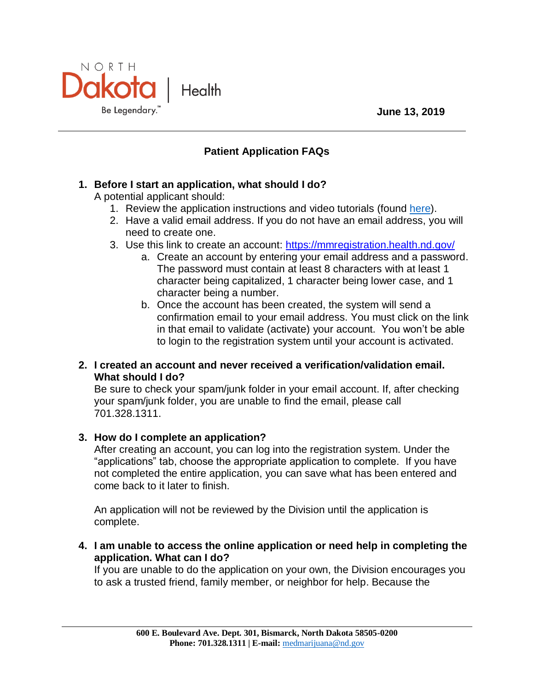

# NORTH **Dakota** Health Be Legendary."

## **Patient Application FAQs**

## **1. Before I start an application, what should I do?**

A potential applicant should:

- 1. Review the application instructions and video tutorials (found [here\)](http://www.ndhealth.gov/MM/patient.aspx).
- 2. Have a valid email address. If you do not have an email address, you will need to create one.
- 3. Use this link to create an account:<https://mmregistration.health.nd.gov/>
	- a. Create an account by entering your email address and a password. The password must contain at least 8 characters with at least 1 character being capitalized, 1 character being lower case, and 1 character being a number.
	- b. Once the account has been created, the system will send a confirmation email to your email address. You must click on the link in that email to validate (activate) your account. You won't be able to login to the registration system until your account is activated.

### **2. I created an account and never received a verification/validation email. What should I do?**

Be sure to check your spam/junk folder in your email account. If, after checking your spam/junk folder, you are unable to find the email, please call 701.328.1311.

### **3. How do I complete an application?**

After creating an account, you can log into the registration system. Under the "applications" tab, choose the appropriate application to complete. If you have not completed the entire application, you can save what has been entered and come back to it later to finish.

An application will not be reviewed by the Division until the application is complete.

**4. I am unable to access the online application or need help in completing the application. What can I do?**

If you are unable to do the application on your own, the Division encourages you to ask a trusted friend, family member, or neighbor for help. Because the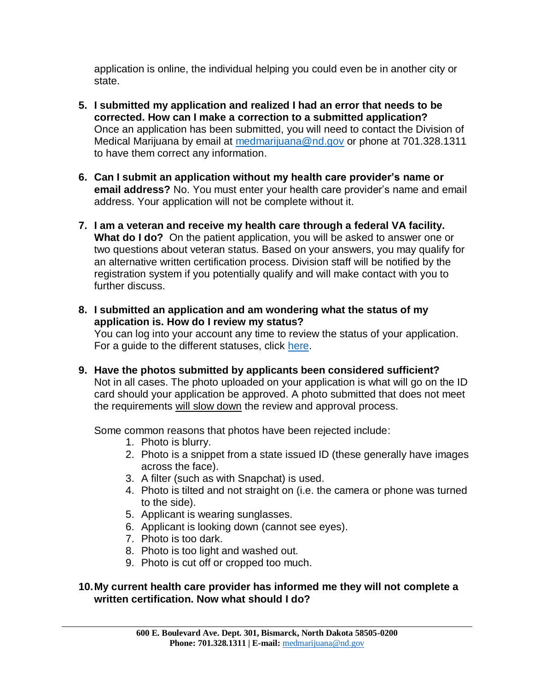application is online, the individual helping you could even be in another city or state.

- **5. I submitted my application and realized I had an error that needs to be corrected. How can I make a correction to a submitted application?** Once an application has been submitted, you will need to contact the Division of Medical Marijuana by email at [medmarijuana@nd.gov](mailto:medmarijuana@nd.gov) or phone at 701.328.1311 to have them correct any information.
- **6. Can I submit an application without my health care provider's name or email address?** No. You must enter your health care provider's name and email address. Your application will not be complete without it.
- **7. I am a veteran and receive my health care through a federal VA facility. What do I do?** On the patient application, you will be asked to answer one or two questions about veteran status. Based on your answers, you may qualify for an alternative written certification process. Division staff will be notified by the registration system if you potentially qualify and will make contact with you to further discuss.
- **8. I submitted an application and am wondering what the status of my application is. How do I review my status?**

You can log into your account any time to review the status of your application. For a guide to the different statuses, click [here.](http://www.ndhealth.gov/mm/PDF/Patients/Application_Statuses.pdf)

**9. Have the photos submitted by applicants been considered sufficient?**  Not in all cases. The photo uploaded on your application is what will go on the ID card should your application be approved. A photo submitted that does not meet the requirements will slow down the review and approval process.

Some common reasons that photos have been rejected include:

- 1. Photo is blurry.
- 2. Photo is a snippet from a state issued ID (these generally have images across the face).
- 3. A filter (such as with Snapchat) is used.
- 4. Photo is tilted and not straight on (i.e. the camera or phone was turned to the side).
- 5. Applicant is wearing sunglasses.
- 6. Applicant is looking down (cannot see eyes).
- 7. Photo is too dark.
- 8. Photo is too light and washed out.
- 9. Photo is cut off or cropped too much.

### **10.My current health care provider has informed me they will not complete a written certification. Now what should I do?**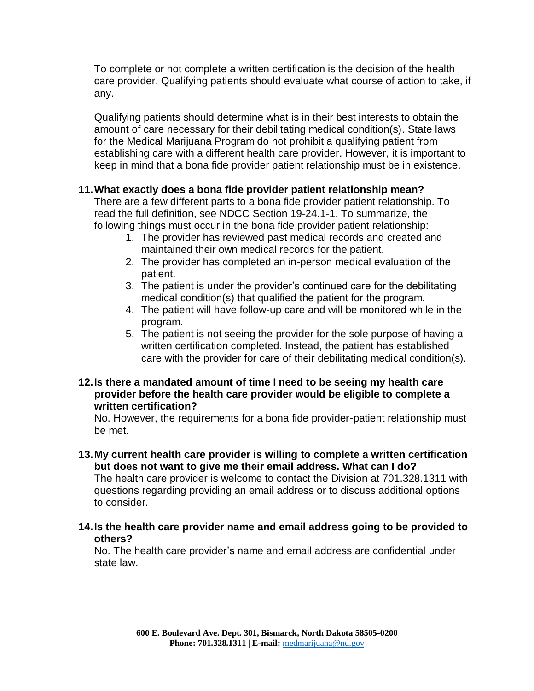To complete or not complete a written certification is the decision of the health care provider. Qualifying patients should evaluate what course of action to take, if any.

Qualifying patients should determine what is in their best interests to obtain the amount of care necessary for their debilitating medical condition(s). State laws for the Medical Marijuana Program do not prohibit a qualifying patient from establishing care with a different health care provider. However, it is important to keep in mind that a bona fide provider patient relationship must be in existence.

## **11.What exactly does a bona fide provider patient relationship mean?**

There are a few different parts to a bona fide provider patient relationship. To read the full definition, see NDCC Section 19-24.1-1. To summarize, the following things must occur in the bona fide provider patient relationship:

- 1. The provider has reviewed past medical records and created and maintained their own medical records for the patient.
- 2. The provider has completed an in-person medical evaluation of the patient.
- 3. The patient is under the provider's continued care for the debilitating medical condition(s) that qualified the patient for the program.
- 4. The patient will have follow-up care and will be monitored while in the program.
- 5. The patient is not seeing the provider for the sole purpose of having a written certification completed. Instead, the patient has established care with the provider for care of their debilitating medical condition(s).

#### **12.Is there a mandated amount of time I need to be seeing my health care provider before the health care provider would be eligible to complete a written certification?**

No. However, the requirements for a bona fide provider-patient relationship must be met.

**13.My current health care provider is willing to complete a written certification but does not want to give me their email address. What can I do?**

The health care provider is welcome to contact the Division at 701.328.1311 with questions regarding providing an email address or to discuss additional options to consider.

### **14.Is the health care provider name and email address going to be provided to others?**

No. The health care provider's name and email address are confidential under state law.